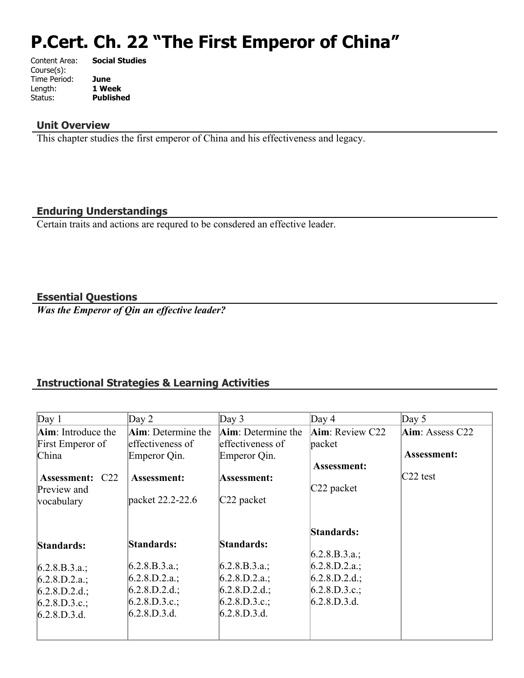# **P.Cert. Ch. 22 "The First Emperor of China"**

| Content Area: | <b>Social Studies</b> |
|---------------|-----------------------|
| Course(s):    |                       |
| Time Period:  | June                  |
| Length:       | 1 Week                |
| Status:       | <b>Published</b>      |
|               |                       |

#### **Unit Overview**

This chapter studies the first emperor of China and his effectiveness and legacy.

## **Enduring Understandings**

Certain traits and actions are requred to be consdered an effective leader.

## **Essential Questions**

*Was the Emperor of Qin an effective leader?*

## **Instructional Strategies & Learning Activities**

| Day 1                  | Day $2$                    | Day 3              | Day $4$                 | Day $5$         |
|------------------------|----------------------------|--------------------|-------------------------|-----------------|
| Aim: Introduce the     | <b>Aim</b> : Determine the | Aim: Determine the | <b>Aim</b> : Review C22 | Aim: Assess C22 |
| First Emperor of       | effectiveness of           | effectiveness of   | packet                  |                 |
| China                  | Emperor Qin.               | Emperor Qin.       |                         | Assessment:     |
|                        |                            |                    | Assessment:             |                 |
| <b>Assessment: C22</b> | <b>Assessment:</b>         | Assessment:        |                         | $C22$ test      |
| Preview and            |                            |                    | $C22$ packet            |                 |
| vocabulary             | packet 22.2-22.6           | $C22$ packet       |                         |                 |
|                        |                            |                    |                         |                 |
|                        |                            |                    | <b>Standards:</b>       |                 |
| Standards:             | Standards:                 | Standards:         |                         |                 |
|                        |                            |                    | $6.2.8.B.3.a.$ ;        |                 |
| $6.2.8.B.3.a.$ ;       | [6.2.8.B.3.a.;             | (6.2.8.B.3.a.);    | $6.2.8.D.2.a.$ ;        |                 |
| $6.2.8.D.2.a.$ ;       | (6.2.8.D.2.a.;             | $6.2.8.D.2.a.$ ;   | $6.2.8.D.2.d.$ ;        |                 |
| $6.2.8.D.2.d.$ ;       | $6.2.8.D.2.d.$ ;           | $6.2.8.D.2.d.$ ;   | $6.2.8.D.3.c.$ ;        |                 |
| $6.2.8.D.3.c.$ ;       | 6.2.8.D.3.c.;              | 6.2.8.D.3.c.;      | 6.2.8.D.3.d.            |                 |
| 6.2.8.D.3.d.           | 6.2.8.D.3.d.               | 6.2.8.D.3.d.       |                         |                 |
|                        |                            |                    |                         |                 |
|                        |                            |                    |                         |                 |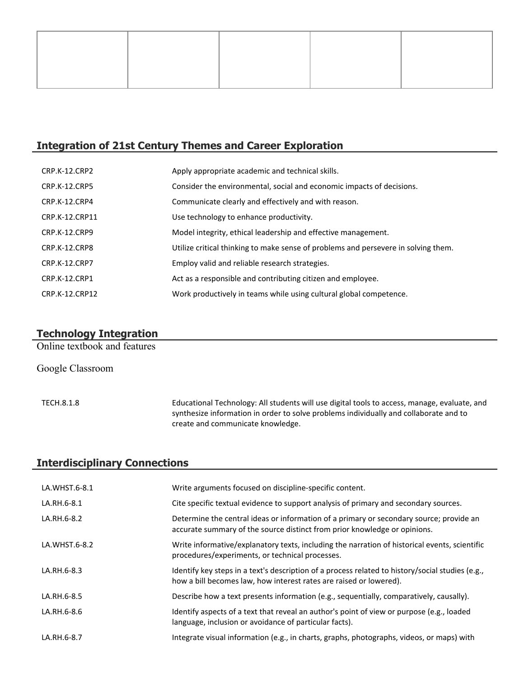## **Integration of 21st Century Themes and Career Exploration**

| CRP.K-12.CRP2        | Apply appropriate academic and technical skills.                                   |
|----------------------|------------------------------------------------------------------------------------|
| <b>CRP.K-12.CRP5</b> | Consider the environmental, social and economic impacts of decisions.              |
| CRP.K-12.CRP4        | Communicate clearly and effectively and with reason.                               |
| CRP.K-12.CRP11       | Use technology to enhance productivity.                                            |
| <b>CRP.K-12.CRP9</b> | Model integrity, ethical leadership and effective management.                      |
| CRP.K-12.CRP8        | Utilize critical thinking to make sense of problems and persevere in solving them. |
| <b>CRP.K-12.CRP7</b> | Employ valid and reliable research strategies.                                     |
| <b>CRP.K-12.CRP1</b> | Act as a responsible and contributing citizen and employee.                        |
| CRP.K-12.CRP12       | Work productively in teams while using cultural global competence.                 |

# **Technology Integration**

Online textbook and features

Google Classroom

TECH.8.1.8 Educational Technology: All students will use digital tools to access, manage, evaluate, and synthesize information in order to solve problems individually and collaborate and to create and communicate knowledge.

# **Interdisciplinary Connections**

| LA.WHST.6-8.1 | Write arguments focused on discipline-specific content.                                                                                                                |
|---------------|------------------------------------------------------------------------------------------------------------------------------------------------------------------------|
| LA.RH.6-8.1   | Cite specific textual evidence to support analysis of primary and secondary sources.                                                                                   |
| LA.RH.6-8.2   | Determine the central ideas or information of a primary or secondary source; provide an<br>accurate summary of the source distinct from prior knowledge or opinions.   |
| LA.WHST.6-8.2 | Write informative/explanatory texts, including the narration of historical events, scientific<br>procedures/experiments, or technical processes.                       |
| LA.RH.6-8.3   | Identify key steps in a text's description of a process related to history/social studies (e.g.,<br>how a bill becomes law, how interest rates are raised or lowered). |
| LA.RH.6-8.5   | Describe how a text presents information (e.g., sequentially, comparatively, causally).                                                                                |
| LA.RH.6-8.6   | Identify aspects of a text that reveal an author's point of view or purpose (e.g., loaded<br>language, inclusion or avoidance of particular facts).                    |
| LA.RH.6-8.7   | Integrate visual information (e.g., in charts, graphs, photographs, videos, or maps) with                                                                              |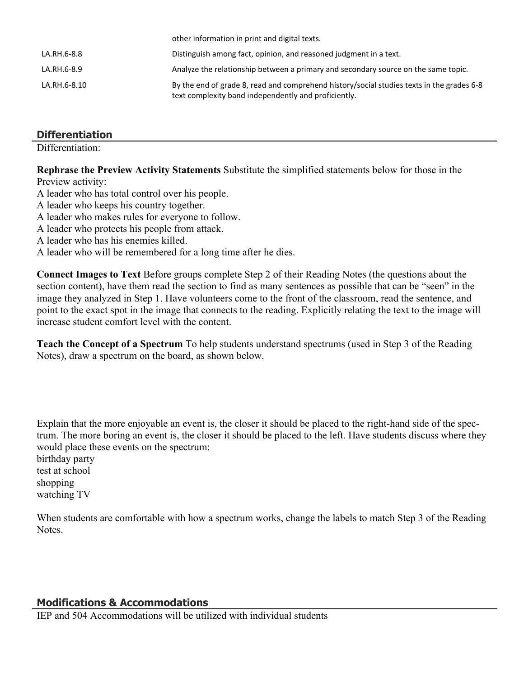|              | <u>Uther implifiation in print and digital texts.</u>                                                                                             |
|--------------|---------------------------------------------------------------------------------------------------------------------------------------------------|
| LA.RH.6-8.8  | Distinguish among fact, opinion, and reasoned judgment in a text.                                                                                 |
| LA.RH.6-8.9  | Analyze the relationship between a primary and secondary source on the same topic.                                                                |
| LA.RH.6-8.10 | By the end of grade 8, read and comprehend history/social studies texts in the grades 6-8<br>text complexity band independently and proficiently. |

other information in print and digital texts.

## **Differentiation**

Differentiation:

**Rephrase the Preview Activity Statements** Substitute the simplified statements below for those in the Preview activity:

A leader who has total control over his people.

- A leader who keeps his country together.
- A leader who makes rules for everyone to follow.
- A leader who protects his people from attack.
- A leader who has his enemies killed.

A leader who will be remembered for a long time after he dies.

**Connect Images to Text** Before groups complete Step 2 of their Reading Notes (the questions about the section content), have them read the section to find as many sentences as possible that can be "seen" in the image they analyzed in Step 1. Have volunteers come to the front of the classroom, read the sentence, and point to the exact spot in the image that connects to the reading. Explicitly relating the text to the image will increase student comfort level with the content.

**Teach the Concept of a Spectrum** To help students understand spectrums (used in Step 3 of the Reading Notes), draw a spectrum on the board, as shown below.

Explain that the more enjoyable an event is, the closer it should be placed to the right-hand side of the spectrum. The more boring an event is, the closer it should be placed to the left. Have students discuss where they would place these events on the spectrum:

birthday party test at school shopping watching TV

When students are comfortable with how a spectrum works, change the labels to match Step 3 of the Reading Notes.

## **Modifications & Accommodations**

IEP and 504 Accommodations will be utilized with individual students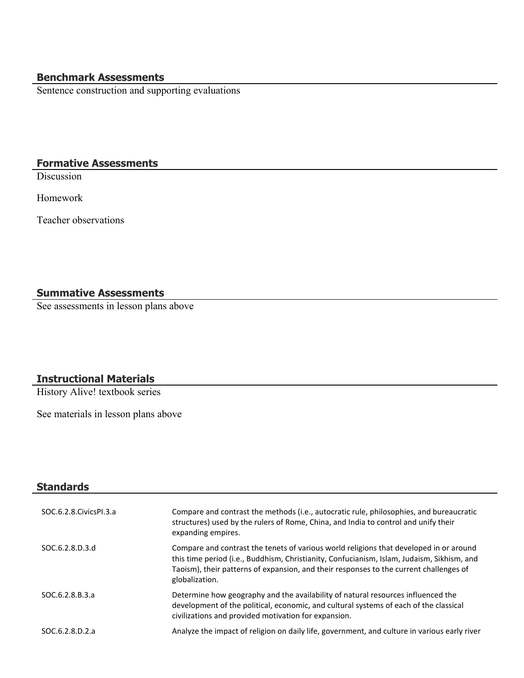# **Benchmark Assessments**

Sentence construction and supporting evaluations

# **Formative Assessments**

**Discussion** 

Homework

Teacher observations

# **Summative Assessments**

See assessments in lesson plans above

## **Instructional Materials**

History Alive! textbook series

See materials in lesson plans above

| Standards                |                                                                                                                                                                                                                                                                                                  |
|--------------------------|--------------------------------------------------------------------------------------------------------------------------------------------------------------------------------------------------------------------------------------------------------------------------------------------------|
| SOC.6.2.8. Civics PI.3.a | Compare and contrast the methods (i.e., autocratic rule, philosophies, and bureaucratic<br>structures) used by the rulers of Rome, China, and India to control and unify their<br>expanding empires.                                                                                             |
| SOC.6.2.8.D.3.d          | Compare and contrast the tenets of various world religions that developed in or around<br>this time period (i.e., Buddhism, Christianity, Confucianism, Islam, Judaism, Sikhism, and<br>Taoism), their patterns of expansion, and their responses to the current challenges of<br>globalization. |
| SOC.6.2.8.B.3.a          | Determine how geography and the availability of natural resources influenced the<br>development of the political, economic, and cultural systems of each of the classical<br>civilizations and provided motivation for expansion.                                                                |
| SOC.6.2.8.D.2.a          | Analyze the impact of religion on daily life, government, and culture in various early river                                                                                                                                                                                                     |